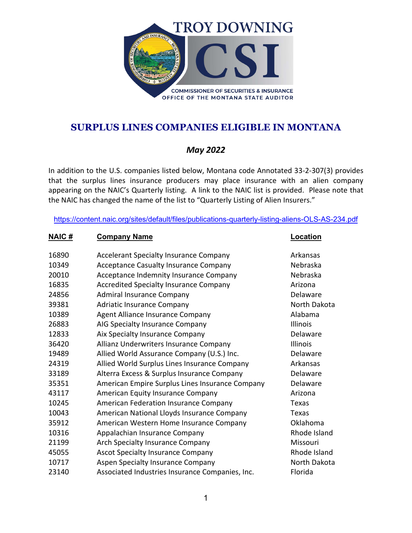

### *May 2022*

In addition to the U.S. companies listed below, Montana code Annotated 33-2-307(3) provides that the surplus lines insurance producers may place insurance with an alien company appearing on the NAIC's Quarterly listing. A link to the NAIC list is provided. Please note that the NAIC has changed the name of the list to "Quarterly Listing of Alien Insurers."

<https://content.naic.org/sites/default/files/publications-quarterly-listing-aliens-OLS-AS-234.pdf>

**NAIC # Company Name Location**

| 16890 | <b>Accelerant Specialty Insurance Company</b>   | Arkansas        |
|-------|-------------------------------------------------|-----------------|
| 10349 | <b>Acceptance Casualty Insurance Company</b>    | Nebraska        |
| 20010 | Acceptance Indemnity Insurance Company          | Nebraska        |
| 16835 | <b>Accredited Specialty Insurance Company</b>   | Arizona         |
| 24856 | <b>Admiral Insurance Company</b>                | Delaware        |
| 39381 | <b>Adriatic Insurance Company</b>               | North Dakota    |
| 10389 | Agent Alliance Insurance Company                | Alabama         |
| 26883 | AIG Specialty Insurance Company                 | <b>Illinois</b> |
| 12833 | Aix Specialty Insurance Company                 | Delaware        |
| 36420 | Allianz Underwriters Insurance Company          | Illinois        |
| 19489 | Allied World Assurance Company (U.S.) Inc.      | Delaware        |
| 24319 | Allied World Surplus Lines Insurance Company    | Arkansas        |
| 33189 | Alterra Excess & Surplus Insurance Company      | Delaware        |
| 35351 | American Empire Surplus Lines Insurance Company | Delaware        |
| 43117 | American Equity Insurance Company               | Arizona         |
| 10245 | American Federation Insurance Company           | Texas           |
| 10043 | American National Lloyds Insurance Company      | Texas           |
| 35912 | American Western Home Insurance Company         | Oklahoma        |
| 10316 | Appalachian Insurance Company                   | Rhode Island    |
| 21199 | Arch Specialty Insurance Company                | Missouri        |
| 45055 | <b>Ascot Specialty Insurance Company</b>        | Rhode Island    |
| 10717 | Aspen Specialty Insurance Company               | North Dakota    |
| 23140 | Associated Industries Insurance Companies, Inc. | Florida         |
|       |                                                 |                 |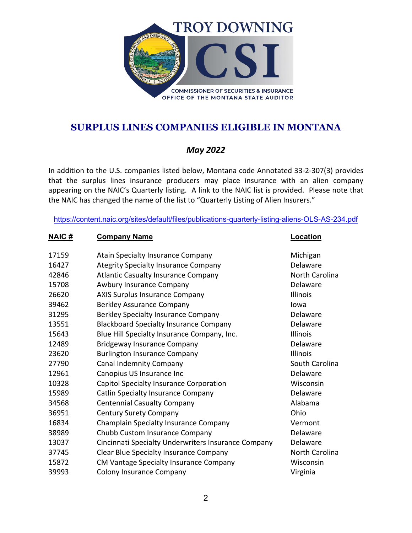

### *May 2022*

In addition to the U.S. companies listed below, Montana code Annotated 33-2-307(3) provides that the surplus lines insurance producers may place insurance with an alien company appearing on the NAIC's Quarterly listing. A link to the NAIC list is provided. Please note that the NAIC has changed the name of the list to "Quarterly Listing of Alien Insurers."

| NAIC# | <b>Company Name</b>                                 | <u>Location</u> |
|-------|-----------------------------------------------------|-----------------|
| 17159 | <b>Atain Specialty Insurance Company</b>            | Michigan        |
| 16427 | <b>Ategrity Specialty Insurance Company</b>         | Delaware        |
| 42846 | <b>Atlantic Casualty Insurance Company</b>          | North Carolina  |
| 15708 | Awbury Insurance Company                            | Delaware        |
| 26620 | <b>AXIS Surplus Insurance Company</b>               | Illinois        |
| 39462 | <b>Berkley Assurance Company</b>                    | lowa            |
| 31295 | Berkley Specialty Insurance Company                 | Delaware        |
| 13551 | <b>Blackboard Specialty Insurance Company</b>       | Delaware        |
| 15643 | Blue Hill Specialty Insurance Company, Inc.         | Illinois        |
| 12489 | <b>Bridgeway Insurance Company</b>                  | Delaware        |
| 23620 | <b>Burlington Insurance Company</b>                 | Illinois        |
| 27790 | Canal Indemnity Company                             | South Carolina  |
| 12961 | Canopius US Insurance Inc                           | Delaware        |
| 10328 | Capitol Specialty Insurance Corporation             | Wisconsin       |
| 15989 | <b>Catlin Specialty Insurance Company</b>           | Delaware        |
| 34568 | <b>Centennial Casualty Company</b>                  | Alabama         |
| 36951 | <b>Century Surety Company</b>                       | Ohio            |
| 16834 | Champlain Specialty Insurance Company               | Vermont         |
| 38989 | Chubb Custom Insurance Company                      | Delaware        |
| 13037 | Cincinnati Specialty Underwriters Insurance Company | Delaware        |
| 37745 | Clear Blue Specialty Insurance Company              | North Carolina  |
| 15872 | CM Vantage Specialty Insurance Company              | Wisconsin       |
| 39993 | Colony Insurance Company                            | Virginia        |
|       |                                                     |                 |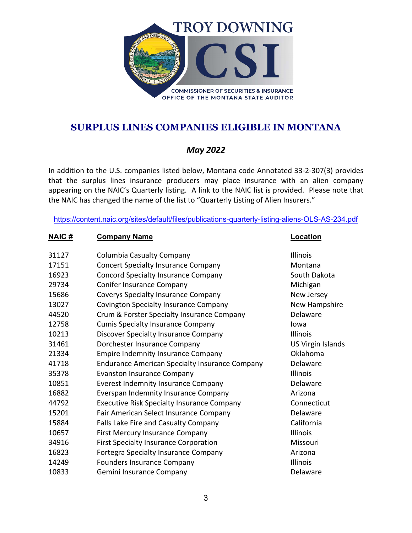

### *May 2022*

In addition to the U.S. companies listed below, Montana code Annotated 33-2-307(3) provides that the surplus lines insurance producers may place insurance with an alien company appearing on the NAIC's Quarterly listing. A link to the NAIC list is provided. Please note that the NAIC has changed the name of the list to "Quarterly Listing of Alien Insurers."

| NAIC# | <b>Company Name</b>                                   | <b>Location</b>          |
|-------|-------------------------------------------------------|--------------------------|
| 31127 | <b>Columbia Casualty Company</b>                      | Illinois                 |
| 17151 | <b>Concert Specialty Insurance Company</b>            | Montana                  |
| 16923 | <b>Concord Specialty Insurance Company</b>            | South Dakota             |
| 29734 | <b>Conifer Insurance Company</b>                      | Michigan                 |
| 15686 | <b>Coverys Specialty Insurance Company</b>            | New Jersey               |
| 13027 | Covington Specialty Insurance Company                 | New Hampshire            |
| 44520 | Crum & Forster Specialty Insurance Company            | Delaware                 |
| 12758 | <b>Cumis Specialty Insurance Company</b>              | lowa                     |
| 10213 | Discover Specialty Insurance Company                  | Illinois                 |
| 31461 | Dorchester Insurance Company                          | <b>US Virgin Islands</b> |
| 21334 | <b>Empire Indemnity Insurance Company</b>             | Oklahoma                 |
| 41718 | <b>Endurance American Specialty Insurance Company</b> | Delaware                 |
| 35378 | <b>Evanston Insurance Company</b>                     | <b>Illinois</b>          |
| 10851 | <b>Everest Indemnity Insurance Company</b>            | Delaware                 |
| 16882 | Everspan Indemnity Insurance Company                  | Arizona                  |
| 44792 | <b>Executive Risk Specialty Insurance Company</b>     | Connecticut              |
| 15201 | Fair American Select Insurance Company                | Delaware                 |
| 15884 | Falls Lake Fire and Casualty Company                  | California               |
| 10657 | <b>First Mercury Insurance Company</b>                | Illinois                 |
| 34916 | <b>First Specialty Insurance Corporation</b>          | Missouri                 |
| 16823 | <b>Fortegra Specialty Insurance Company</b>           | Arizona                  |
| 14249 | Founders Insurance Company                            | Illinois                 |
| 10833 | Gemini Insurance Company                              | Delaware                 |
|       |                                                       |                          |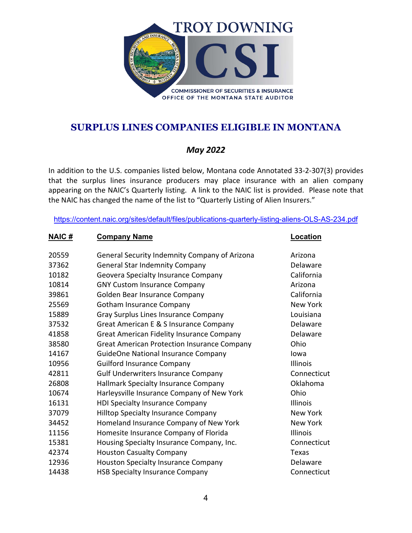

### *May 2022*

In addition to the U.S. companies listed below, Montana code Annotated 33-2-307(3) provides that the surplus lines insurance producers may place insurance with an alien company appearing on the NAIC's Quarterly listing. A link to the NAIC list is provided. Please note that the NAIC has changed the name of the list to "Quarterly Listing of Alien Insurers."

| NAIC# | <b>Company Name</b>                                | Location        |
|-------|----------------------------------------------------|-----------------|
| 20559 | General Security Indemnity Company of Arizona      | Arizona         |
| 37362 | <b>General Star Indemnity Company</b>              | Delaware        |
| 10182 | Geovera Specialty Insurance Company                | California      |
| 10814 | <b>GNY Custom Insurance Company</b>                | Arizona         |
| 39861 | Golden Bear Insurance Company                      | California      |
| 25569 | Gotham Insurance Company                           | <b>New York</b> |
| 15889 | Gray Surplus Lines Insurance Company               | Louisiana       |
| 37532 | Great American E & S Insurance Company             | Delaware        |
| 41858 | <b>Great American Fidelity Insurance Company</b>   | Delaware        |
| 38580 | <b>Great American Protection Insurance Company</b> | Ohio            |
| 14167 | <b>GuideOne National Insurance Company</b>         | lowa            |
| 10956 | <b>Guilford Insurance Company</b>                  | Illinois        |
| 42811 | <b>Gulf Underwriters Insurance Company</b>         | Connecticut     |
| 26808 | Hallmark Specialty Insurance Company               | Oklahoma        |
| 10674 | Harleysville Insurance Company of New York         | Ohio            |
| 16131 | <b>HDI Specialty Insurance Company</b>             | Illinois        |
| 37079 | <b>Hilltop Specialty Insurance Company</b>         | New York        |
| 34452 | Homeland Insurance Company of New York             | <b>New York</b> |
| 11156 | Homesite Insurance Company of Florida              | Illinois        |
| 15381 | Housing Specialty Insurance Company, Inc.          | Connecticut     |
| 42374 | <b>Houston Casualty Company</b>                    | Texas           |
| 12936 | <b>Houston Specialty Insurance Company</b>         | Delaware        |
| 14438 | <b>HSB Specialty Insurance Company</b>             | Connecticut     |
|       |                                                    |                 |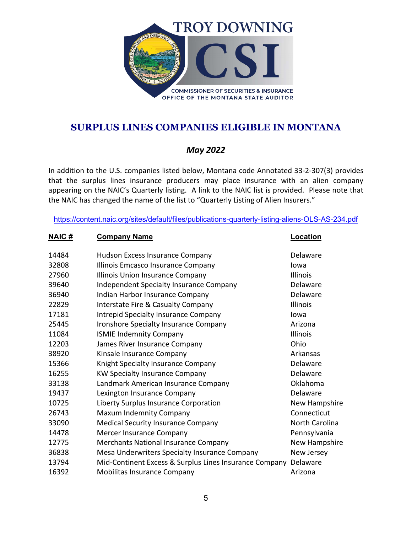

### *May 2022*

In addition to the U.S. companies listed below, Montana code Annotated 33-2-307(3) provides that the surplus lines insurance producers may place insurance with an alien company appearing on the NAIC's Quarterly listing. A link to the NAIC list is provided. Please note that the NAIC has changed the name of the list to "Quarterly Listing of Alien Insurers."

| <u>NAIC#</u> | <b>Company Name</b>                                    | <u>Location</u> |
|--------------|--------------------------------------------------------|-----------------|
| 14484        | Hudson Excess Insurance Company                        | Delaware        |
| 32808        | Illinois Emcasco Insurance Company                     | Iowa            |
| 27960        | Illinois Union Insurance Company                       | <b>Illinois</b> |
| 39640        | Independent Specialty Insurance Company                | Delaware        |
| 36940        | Indian Harbor Insurance Company                        | Delaware        |
| 22829        | Interstate Fire & Casualty Company                     | Illinois        |
| 17181        | Intrepid Specialty Insurance Company                   | Iowa            |
| 25445        | Ironshore Specialty Insurance Company                  | Arizona         |
| 11084        | <b>ISMIE Indemnity Company</b>                         | Illinois        |
| 12203        | James River Insurance Company                          | Ohio            |
| 38920        | Kinsale Insurance Company                              | Arkansas        |
| 15366        | Knight Specialty Insurance Company                     | Delaware        |
| 16255        | <b>KW Specialty Insurance Company</b>                  | Delaware        |
| 33138        | Landmark American Insurance Company                    | Oklahoma        |
| 19437        | Lexington Insurance Company                            | Delaware        |
| 10725        | Liberty Surplus Insurance Corporation                  | New Hampshire   |
| 26743        | Maxum Indemnity Company                                | Connecticut     |
| 33090        | <b>Medical Security Insurance Company</b>              | North Carolina  |
| 14478        | Mercer Insurance Company                               | Pennsylvania    |
| 12775        | Merchants National Insurance Company                   | New Hampshire   |
| 36838        | Mesa Underwriters Specialty Insurance Company          | New Jersey      |
| 13794        | Mid-Continent Excess & Surplus Lines Insurance Company | Delaware        |
| 16392        | Mobilitas Insurance Company                            | Arizona         |
|              |                                                        |                 |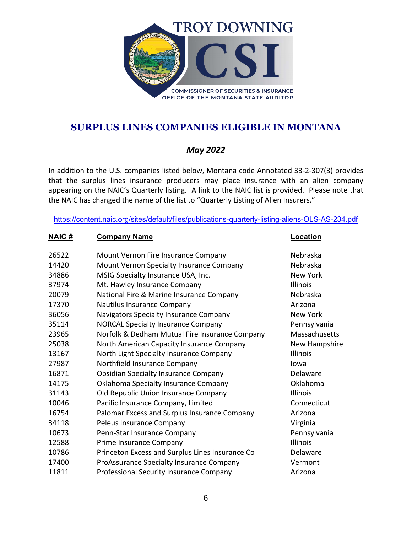

### *May 2022*

In addition to the U.S. companies listed below, Montana code Annotated 33-2-307(3) provides that the surplus lines insurance producers may place insurance with an alien company appearing on the NAIC's Quarterly listing. A link to the NAIC list is provided. Please note that the NAIC has changed the name of the list to "Quarterly Listing of Alien Insurers."

<https://content.naic.org/sites/default/files/publications-quarterly-listing-aliens-OLS-AS-234.pdf>

#### **NAIC # Company Name Location**

| 26522 | Mount Vernon Fire Insurance Company             | Nebraska             |
|-------|-------------------------------------------------|----------------------|
| 14420 | Mount Vernon Specialty Insurance Company        | Nebraska             |
| 34886 | MSIG Specialty Insurance USA, Inc.              | <b>New York</b>      |
| 37974 | Mt. Hawley Insurance Company                    | <b>Illinois</b>      |
| 20079 | National Fire & Marine Insurance Company        | Nebraska             |
| 17370 | Nautilus Insurance Company                      | Arizona              |
| 36056 | Navigators Specialty Insurance Company          | <b>New York</b>      |
| 35114 | <b>NORCAL Specialty Insurance Company</b>       | Pennsylvania         |
| 23965 | Norfolk & Dedham Mutual Fire Insurance Company  | <b>Massachusetts</b> |
| 25038 | North American Capacity Insurance Company       | <b>New Hampshire</b> |
| 13167 | North Light Specialty Insurance Company         | Illinois             |
| 27987 | Northfield Insurance Company                    | lowa                 |
| 16871 | <b>Obsidian Specialty Insurance Company</b>     | Delaware             |
| 14175 | Oklahoma Specialty Insurance Company            | Oklahoma             |
| 31143 | Old Republic Union Insurance Company            | Illinois             |
| 10046 | Pacific Insurance Company, Limited              | Connecticut          |
| 16754 | Palomar Excess and Surplus Insurance Company    | Arizona              |
| 34118 | Peleus Insurance Company                        | Virginia             |
| 10673 | Penn-Star Insurance Company                     | Pennsylvania         |
| 12588 | Prime Insurance Company                         | Illinois             |
| 10786 | Princeton Excess and Surplus Lines Insurance Co | Delaware             |
| 17400 | ProAssurance Specialty Insurance Company        | Vermont              |
| 11811 | Professional Security Insurance Company         | Arizona              |
|       |                                                 |                      |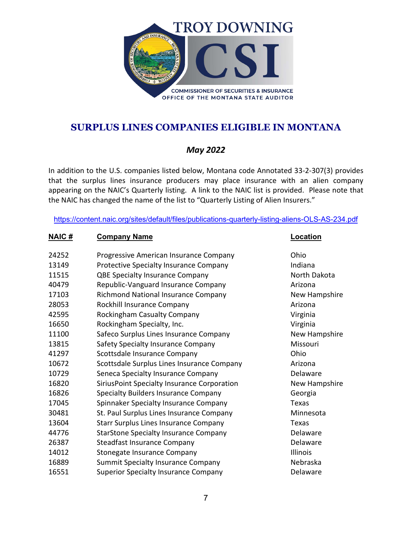

### *May 2022*

In addition to the U.S. companies listed below, Montana code Annotated 33-2-307(3) provides that the surplus lines insurance producers may place insurance with an alien company appearing on the NAIC's Quarterly listing. A link to the NAIC list is provided. Please note that the NAIC has changed the name of the list to "Quarterly Listing of Alien Insurers."

| <u>NAIC #</u> | <b>Company Name</b>                           | <u>Location</u> |
|---------------|-----------------------------------------------|-----------------|
| 24252         | Progressive American Insurance Company        | Ohio            |
| 13149         | <b>Protective Specialty Insurance Company</b> | Indiana         |
| 11515         | <b>QBE Specialty Insurance Company</b>        | North Dakota    |
| 40479         | Republic-Vanguard Insurance Company           | Arizona         |
| 17103         | Richmond National Insurance Company           | New Hampshire   |
| 28053         | Rockhill Insurance Company                    | Arizona         |
| 42595         | Rockingham Casualty Company                   | Virginia        |
| 16650         | Rockingham Specialty, Inc.                    | Virginia        |
| 11100         | Safeco Surplus Lines Insurance Company        | New Hampshire   |
| 13815         | Safety Specialty Insurance Company            | Missouri        |
| 41297         | Scottsdale Insurance Company                  | Ohio            |
| 10672         | Scottsdale Surplus Lines Insurance Company    | Arizona         |
| 10729         | Seneca Specialty Insurance Company            | Delaware        |
| 16820         | SiriusPoint Specialty Insurance Corporation   | New Hampshire   |
| 16826         | <b>Specialty Builders Insurance Company</b>   | Georgia         |
| 17045         | Spinnaker Specialty Insurance Company         | Texas           |
| 30481         | St. Paul Surplus Lines Insurance Company      | Minnesota       |
| 13604         | <b>Starr Surplus Lines Insurance Company</b>  | Texas           |
| 44776         | <b>StarStone Specialty Insurance Company</b>  | Delaware        |
| 26387         | Steadfast Insurance Company                   | Delaware        |
| 14012         | Stonegate Insurance Company                   | Illinois        |
| 16889         | <b>Summit Specialty Insurance Company</b>     | Nebraska        |
| 16551         | <b>Superior Specialty Insurance Company</b>   | Delaware        |
|               |                                               |                 |